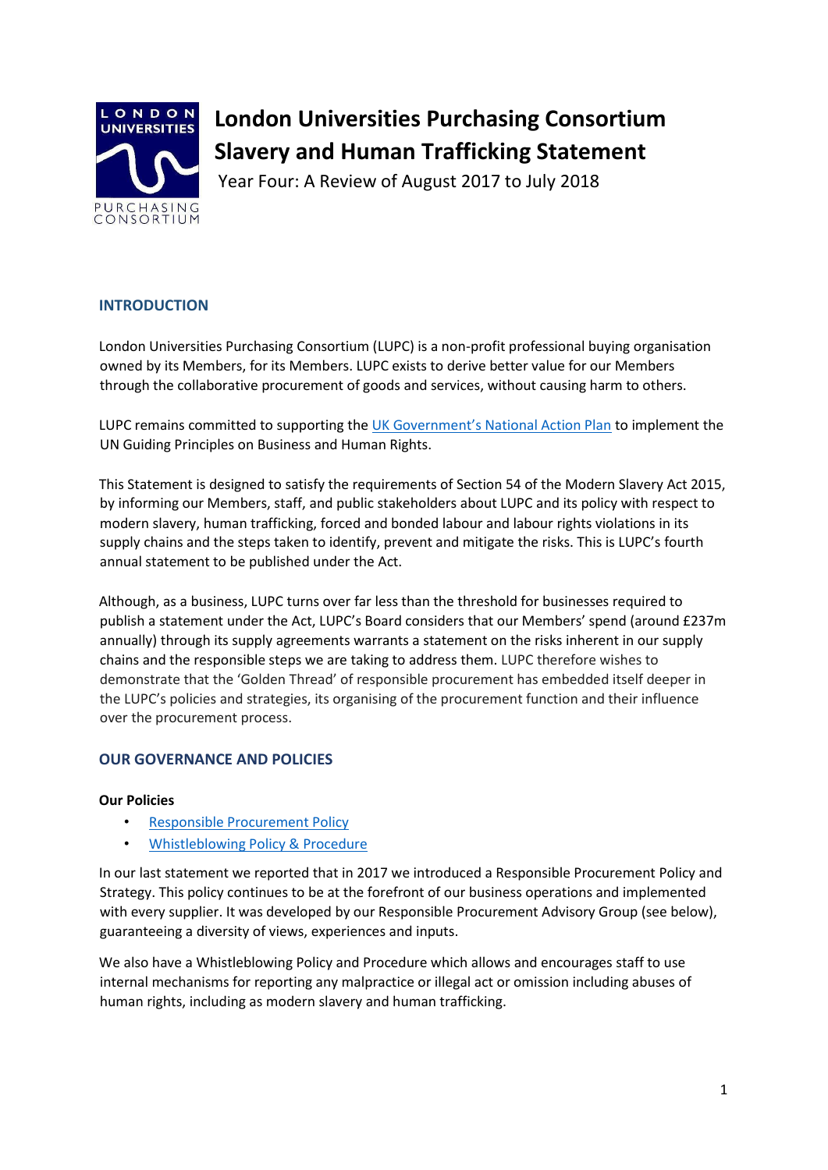

# **London Universities Purchasing Consortium Slavery and Human Trafficking Statement**

Year Four: A Review of August 2017 to July 2018

# **INTRODUCTION**

London Universities Purchasing Consortium (LUPC) is a non-profit professional buying organisation owned by its Members, for its Members. LUPC exists to derive better value for our Members through the collaborative procurement of goods and services, without causing harm to others.

LUPC remains committed to supporting the UK Government's National Action Plan to implement the UN Guiding Principles on Business and Human Rights.

This Statement is designed to satisfy the requirements of Section 54 of the Modern Slavery Act 2015, by informing our Members, staff, and public stakeholders about LUPC and its policy with respect to modern slavery, human trafficking, forced and bonded labour and labour rights violations in its supply chains and the steps taken to identify, prevent and mitigate the risks. This is LUPC's fourth annual statement to be published under the Act.

Although, as a business, LUPC turns over far less than the threshold for businesses required to publish a statement under the Act, LUPC's Board considers that our Members' spend (around £237m annually) through its supply agreements warrants a statement on the risks inherent in our supply chains and the responsible steps we are taking to address them. LUPC therefore wishes to demonstrate that the 'Golden Thread' of responsible procurement has embedded itself deeper in the LUPC's policies and strategies, its organising of the procurement function and their influence over the procurement process.

## **OUR GOVERNANCE AND POLICIES**

## **Our Policies**

- Responsible Procurement Policy
- Whistleblowing Policy & Procedure

In our last statement we reported that in 2017 we introduced a Responsible Procurement Policy and Strategy. This policy continues to be at the forefront of our business operations and implemented with every supplier. It was developed by our Responsible Procurement Advisory Group (see below), guaranteeing a diversity of views, experiences and inputs.

We also have a Whistleblowing Policy and Procedure which allows and encourages staff to use internal mechanisms for reporting any malpractice or illegal act or omission including abuses of human rights, including as modern slavery and human trafficking.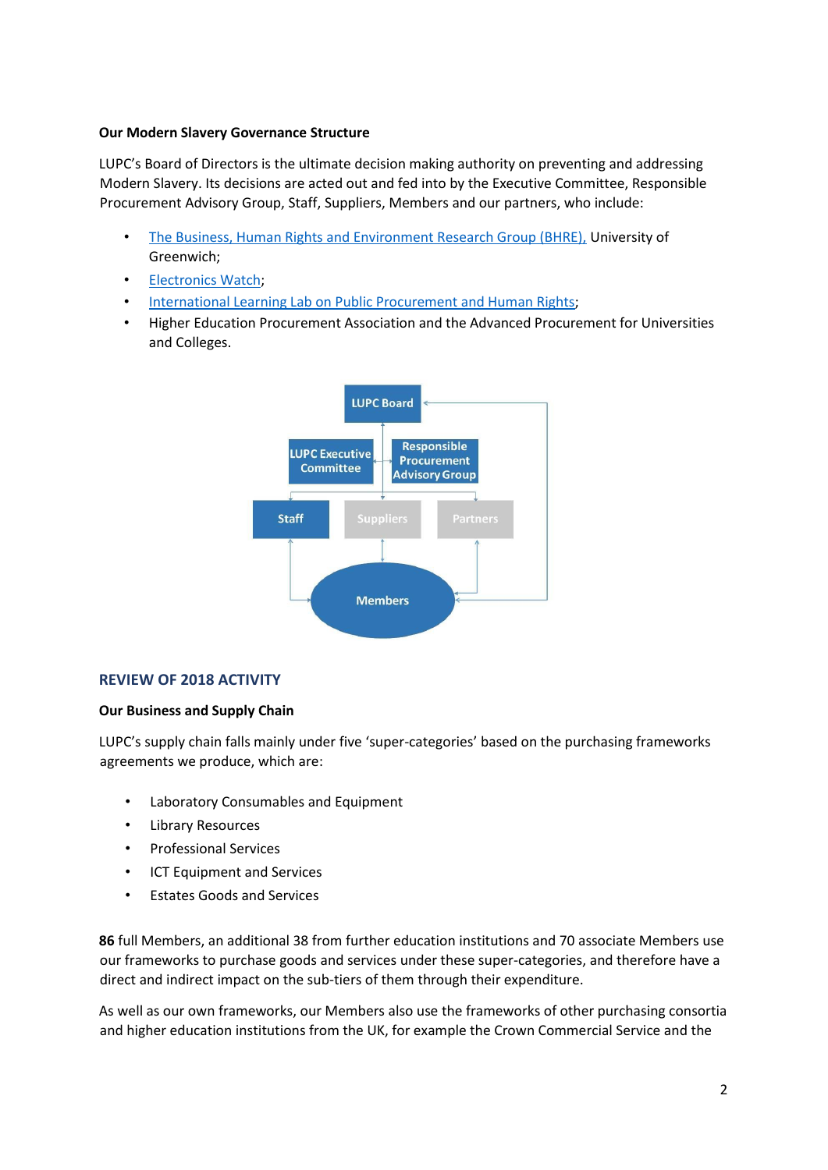#### **Our Modern Slavery Governance Structure**

LUPC's Board of Directors is the ultimate decision making authority on preventing and addressing Modern Slavery. Its decisions are acted out and fed into by the Executive Committee, Responsible Procurement Advisory Group, Staff, Suppliers, Members and our partners, who include:

- The Business, Human Rights and Environment Research Group (BHRE), University of Greenwich;
- Electronics Watch;
- International Learning Lab on Public Procurement and Human Rights;
- Higher Education Procurement Association and the Advanced Procurement for Universities and Colleges.



## **REVIEW OF 2018 ACTIVITY**

## **Our Business and Supply Chain**

LUPC's supply chain falls mainly under five 'super-categories' based on the purchasing frameworks agreements we produce, which are:

- Laboratory Consumables and Equipment
- Library Resources
- Professional Services
- ICT Equipment and Services
- Estates Goods and Services

**86** full Members, an additional 38 from further education institutions and 70 associate Members use our frameworks to purchase goods and services under these super-categories, and therefore have a direct and indirect impact on the sub-tiers of them through their expenditure.

As well as our own frameworks, our Members also use the frameworks of other purchasing consortia and higher education institutions from the UK, for example the Crown Commercial Service and the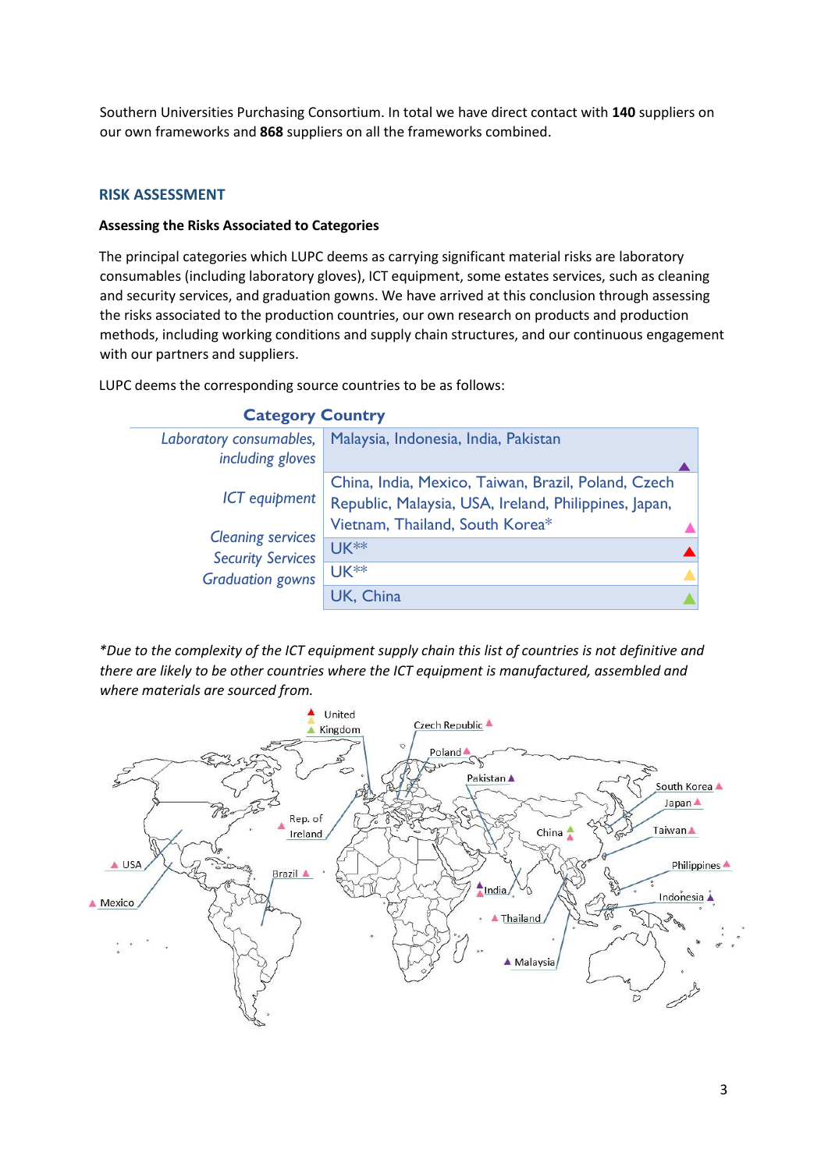Southern Universities Purchasing Consortium. In total we have direct contact with **140** suppliers on our own frameworks and **868** suppliers on all the frameworks combined.

#### **RISK ASSESSMENT**

#### **Assessing the Risks Associated to Categories**

The principal categories which LUPC deems as carrying significant material risks are laboratory consumables (including laboratory gloves), ICT equipment, some estates services, such as cleaning and security services, and graduation gowns. We have arrived at this conclusion through assessing the risks associated to the production countries, our own research on products and production methods, including working conditions and supply chain structures, and our continuous engagement with our partners and suppliers.

LUPC deems the corresponding source countries to be as follows:



*\*Due to the complexity of the ICT equipment supply chain this list of countries is not definitive and there are likely to be other countries where the ICT equipment is manufactured, assembled and* 



# **Category Country**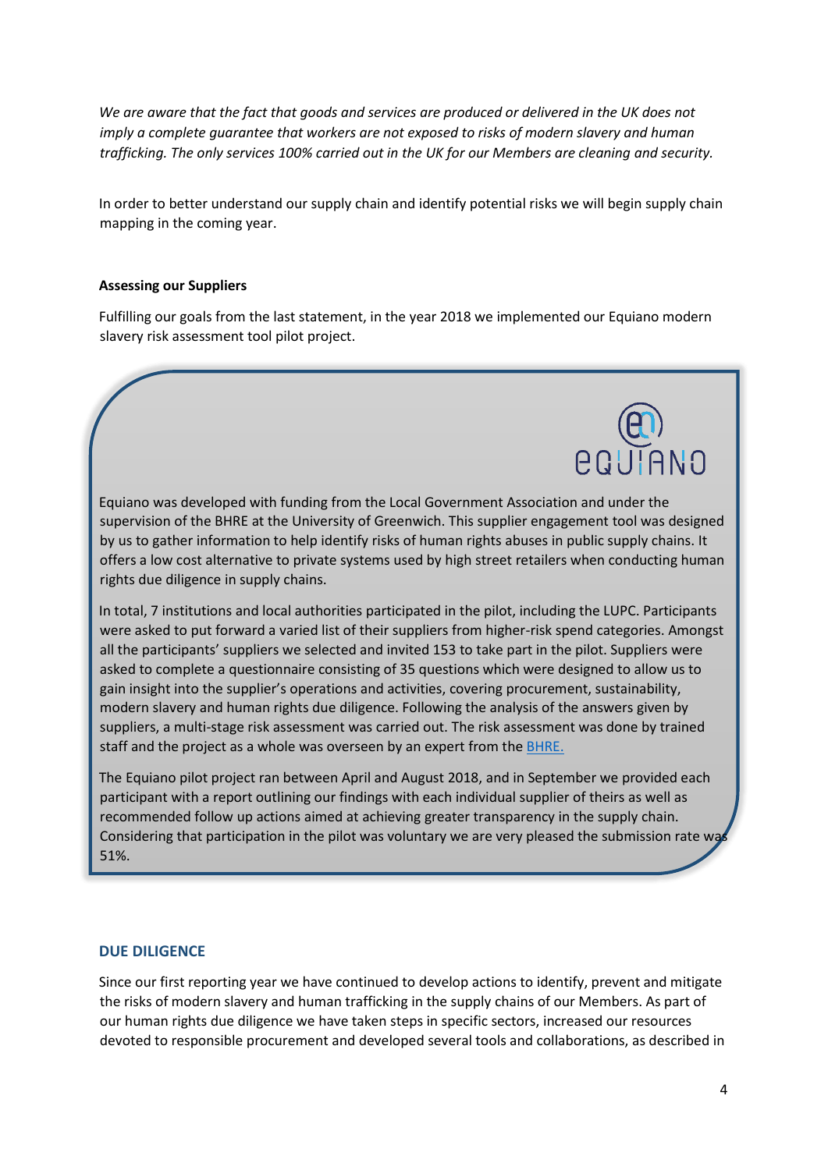*We are aware that the fact that goods and services are produced or delivered in the UK does not imply a complete quarantee that workers are not exposed to risks of modern slavery and human trafficking. The only services 100% carried out in the UK for our Members are cleaning and security.* 

In order to better understand our supply chain and identify potential risks we will begin supply chain mapping in the coming year.

#### **Assessing our Suppliers**

Fulfilling our goals from the last statement, in the year 2018 we implemented our Equiano modern slavery risk assessment tool pilot project.

Equiano was developed with funding from the Local Government Association and under the supervision of the BHRE at the University of Greenwich. This supplier engagement tool was designed by us to gather information to help identify risks of human rights abuses in public supply chains. It offers a low cost alternative to private systems used by high street retailers when conducting human rights due diligence in supply chains.

In total, 7 institutions and local authorities participated in the pilot, including the LUPC. Participants were asked to put forward a varied list of their suppliers from higher-risk spend categories. Amongst all the participants' suppliers we selected and invited 153 to take part in the pilot. Suppliers were asked to complete a questionnaire consisting of 35 questions which were designed to allow us to gain insight into the supplier's operations and activities, covering procurement, sustainability, modern slavery and human rights due diligence. Following the analysis of the answers given by suppliers, a multi-stage risk assessment was carried out. The risk assessment was done by trained staff and the project as a whole was overseen by an expert from the **BHRE**.

The Equiano pilot project ran between April and August 2018, and in September we provided each participant with a report outlining our findings with each individual supplier of theirs as well as recommended follow up actions aimed at achieving greater transparency in the supply chain. Considering that participation in the pilot was voluntary we are very pleased the submission rate wa 51%.

#### **DUE DILIGENCE**

Since our first reporting year we have continued to develop actions to identify, prevent and mitigate the risks of modern slavery and human trafficking in the supply chains of our Members. As part of our human rights due diligence we have taken steps in specific sectors, increased our resources devoted to responsible procurement and developed several tools and collaborations, as described in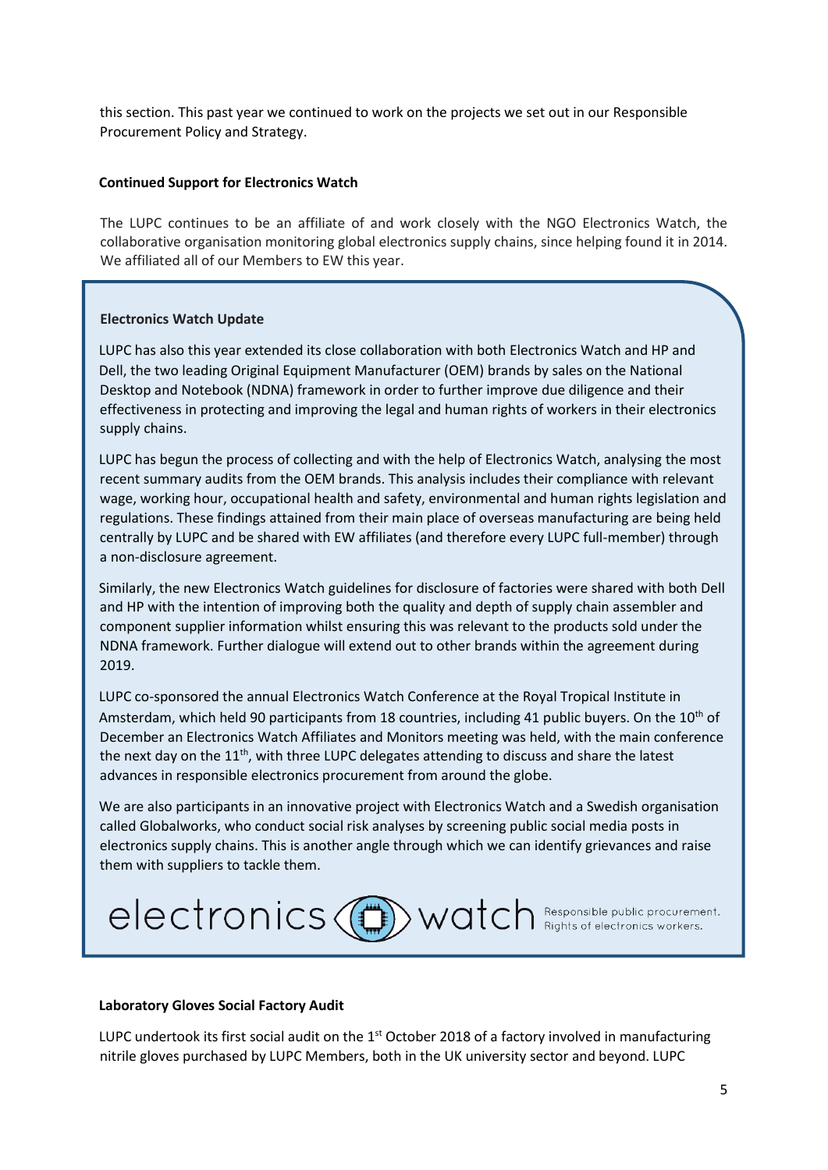this section. This past year we continued to work on the projects we set out in our Responsible Procurement Policy and Strategy.

#### **Continued Support for Electronics Watch**

The LUPC continues to be an affiliate of and work closely with the NGO Electronics Watch, the collaborative organisation monitoring global electronics supply chains, since helping found it in 2014. We affiliated all of our Members to EW this year.

#### **Electronics Watch Update**

 $\overline{a}$ 

LUPC has also this year extended its close collaboration with both Electronics Watch and HP and Dell, the two leading Original Equipment Manufacturer (OEM) brands by sales on the National Desktop and Notebook (NDNA) framework in order to further improve due diligence and their effectiveness in protecting and improving the legal and human rights of workers in their electronics supply chains.

LUPC has begun the process of collecting and with the help of Electronics Watch, analysing the most recent summary audits from the OEM brands. This analysis includes their compliance with relevant wage, working hour, occupational health and safety, environmental and human rights legislation and regulations. These findings attained from their main place of overseas manufacturing are being held centrally by LUPC and be shared with EW affiliates (and therefore every LUPC full-member) through a non-disclosure agreement.

Similarly, the new Electronics Watch guidelines for disclosure of factories were shared with both Dell and HP with the intention of improving both the quality and depth of supply chain assembler and component supplier information whilst ensuring this was relevant to the products sold under the NDNA framework. Further dialogue will extend out to other brands within the agreement during 2019.

LUPC co-sponsored the annual Electronics Watch Conference at the Royal Tropical Institute in Amsterdam, which held 90 participants from 18 countries, including 41 public buyers. On the 10<sup>th</sup> of December an Electronics Watch Affiliates and Monitors meeting was held, with the main conference the next day on the  $11<sup>th</sup>$ , with three LUPC delegates attending to discuss and share the latest advances in responsible electronics procurement from around the globe.

We are also participants in an innovative project with Electronics Watch and a Swedish organisation called Globalworks, who conduct social risk analyses by screening public social media posts in electronics supply chains. This is another angle through which we can identify grievances and raise them with suppliers to tackle them.



#### **Laboratory Gloves Social Factory Audit**

LUPC undertook its first social audit on the  $1<sup>st</sup>$  October 2018 of a factory involved in manufacturing nitrile gloves purchased by LUPC Members, both in the UK university sector and beyond. LUPC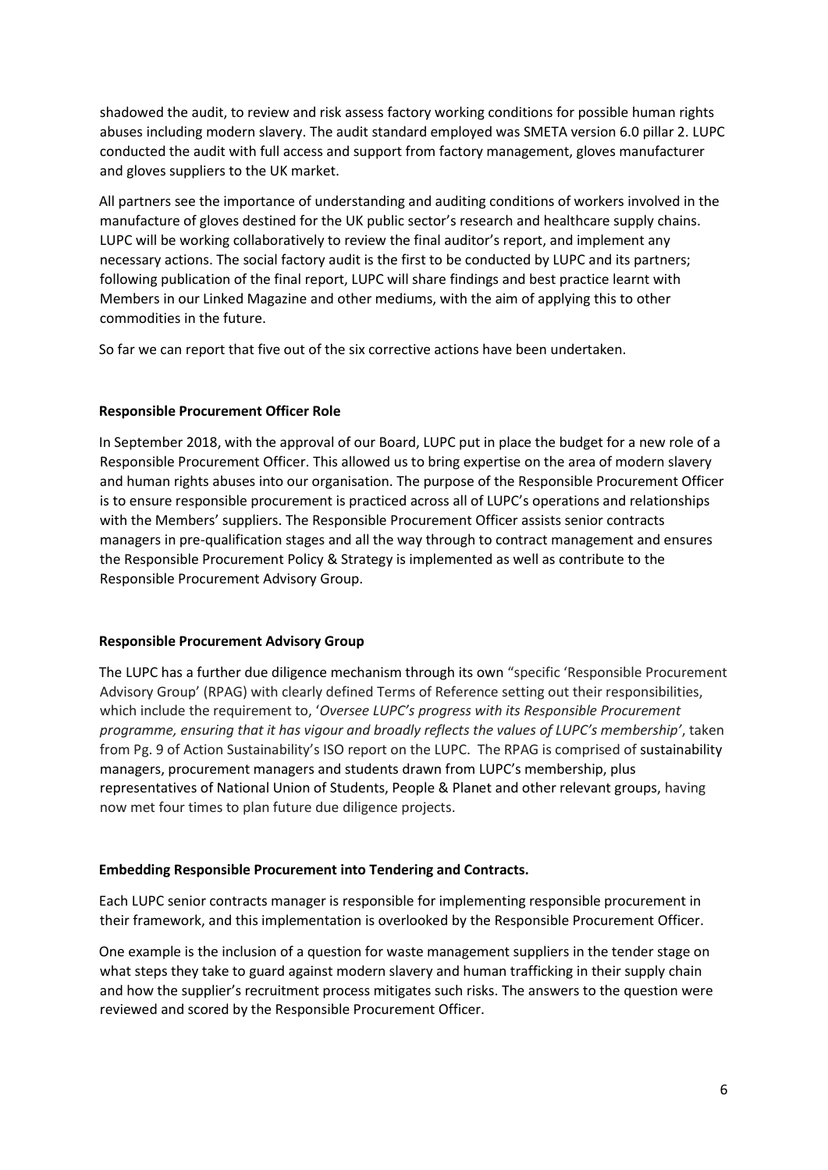shadowed the audit, to review and risk assess factory working conditions for possible human rights abuses including modern slavery. The audit standard employed was SMETA version 6.0 pillar 2. LUPC conducted the audit with full access and support from factory management, gloves manufacturer and gloves suppliers to the UK market.

All partners see the importance of understanding and auditing conditions of workers involved in the manufacture of gloves destined for the UK public sector's research and healthcare supply chains. LUPC will be working collaboratively to review the final auditor's report, and implement any necessary actions. The social factory audit is the first to be conducted by LUPC and its partners; following publication of the final report, LUPC will share findings and best practice learnt with Members in our Linked Magazine and other mediums, with the aim of applying this to other commodities in the future.

So far we can report that five out of the six corrective actions have been undertaken.

## **Responsible Procurement Officer Role**

In September 2018, with the approval of our Board, LUPC put in place the budget for a new role of a Responsible Procurement Officer. This allowed us to bring expertise on the area of modern slavery and human rights abuses into our organisation. The purpose of the Responsible Procurement Officer is to ensure responsible procurement is practiced across all of LUPC's operations and relationships with the Members' suppliers. The Responsible Procurement Officer assists senior contracts managers in pre-qualification stages and all the way through to contract management and ensures the Responsible Procurement Policy & Strategy is implemented as well as contribute to the Responsible Procurement Advisory Group.

#### **Responsible Procurement Advisory Group**

The LUPC has a further due diligence mechanism through its own "specific 'Responsible Procurement Advisory Group' (RPAG) with clearly defined Terms of Reference setting out their responsibilities, which include the requirement to, '*Oversee LUPC's progress with its Responsible Procurement programme, ensuring that it has vigour and broadly reflects the values of LUPC's membership'*, taken from Pg. 9 of Action Sustainability's ISO report on the LUPC. The RPAG is comprised of sustainability managers, procurement managers and students drawn from LUPC's membership, plus representatives of National Union of Students, People & Planet and other relevant groups, having now met four times to plan future due diligence projects.

## **Embedding Responsible Procurement into Tendering and Contracts.**

Each LUPC senior contracts manager is responsible for implementing responsible procurement in their framework, and this implementation is overlooked by the Responsible Procurement Officer.

One example is the inclusion of a question for waste management suppliers in the tender stage on what steps they take to guard against modern slavery and human trafficking in their supply chain and how the supplier's recruitment process mitigates such risks. The answers to the question were reviewed and scored by the Responsible Procurement Officer.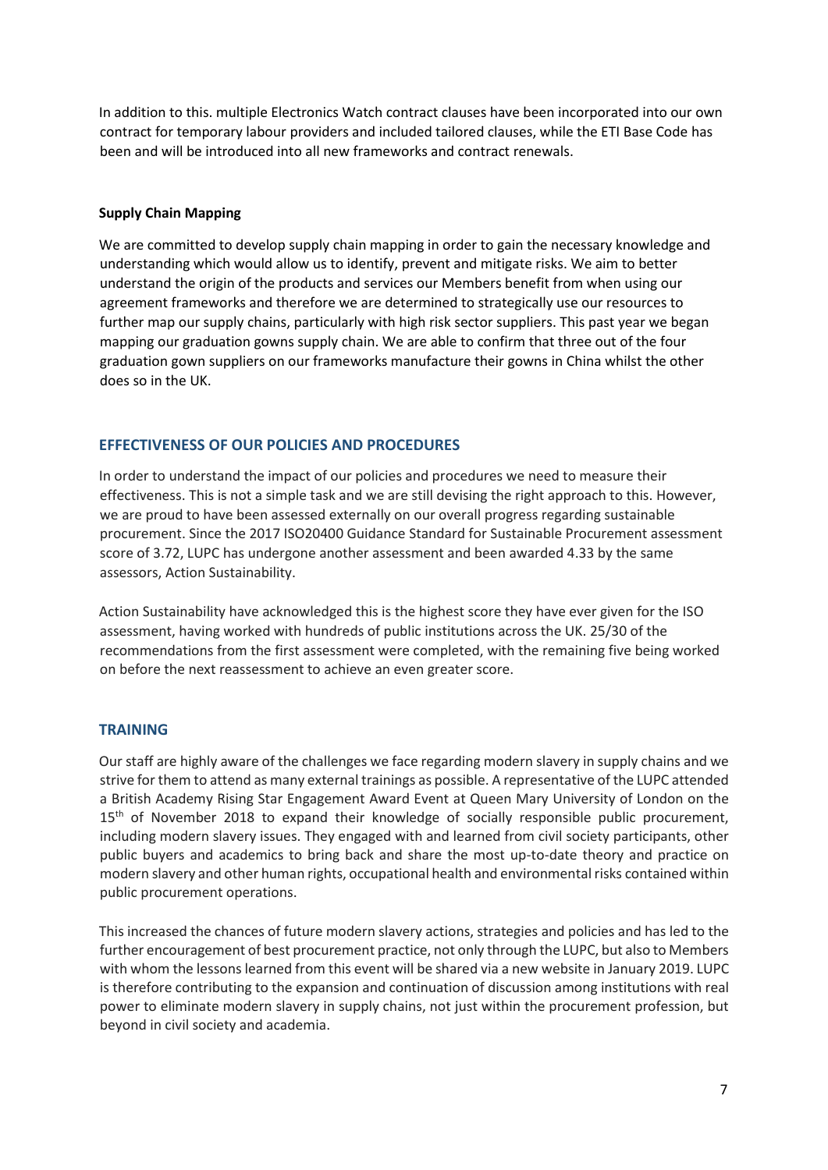In addition to this. multiple Electronics Watch contract clauses have been incorporated into our own contract for temporary labour providers and included tailored clauses, while the ETI Base Code has been and will be introduced into all new frameworks and contract renewals.

#### **Supply Chain Mapping**

We are committed to develop supply chain mapping in order to gain the necessary knowledge and understanding which would allow us to identify, prevent and mitigate risks. We aim to better understand the origin of the products and services our Members benefit from when using our agreement frameworks and therefore we are determined to strategically use our resources to further map our supply chains, particularly with high risk sector suppliers. This past year we began mapping our graduation gowns supply chain. We are able to confirm that three out of the four graduation gown suppliers on our frameworks manufacture their gowns in China whilst the other does so in the UK.

## **EFFECTIVENESS OF OUR POLICIES AND PROCEDURES**

In order to understand the impact of our policies and procedures we need to measure their effectiveness. This is not a simple task and we are still devising the right approach to this. However, we are proud to have been assessed externally on our overall progress regarding sustainable procurement. Since the 2017 ISO20400 Guidance Standard for Sustainable Procurement assessment score of 3.72, LUPC has undergone another assessment and been awarded 4.33 by the same assessors, Action Sustainability.

Action Sustainability have acknowledged this is the highest score they have ever given for the ISO assessment, having worked with hundreds of public institutions across the UK. 25/30 of the recommendations from the first assessment were completed, with the remaining five being worked on before the next reassessment to achieve an even greater score.

#### **TRAINING**

Our staff are highly aware of the challenges we face regarding modern slavery in supply chains and we strive for them to attend as many external trainings as possible. A representative of the LUPC attended a British Academy Rising Star Engagement Award Event at Queen Mary University of London on the 15<sup>th</sup> of November 2018 to expand their knowledge of socially responsible public procurement, including modern slavery issues. They engaged with and learned from civil society participants, other public buyers and academics to bring back and share the most up-to-date theory and practice on modern slavery and other human rights, occupational health and environmental risks contained within public procurement operations.

This increased the chances of future modern slavery actions, strategies and policies and has led to the further encouragement of best procurement practice, not only through the LUPC, but also to Members with whom the lessons learned from this event will be shared via a new website in January 2019. LUPC is therefore contributing to the expansion and continuation of discussion among institutions with real power to eliminate modern slavery in supply chains, not just within the procurement profession, but beyond in civil society and academia.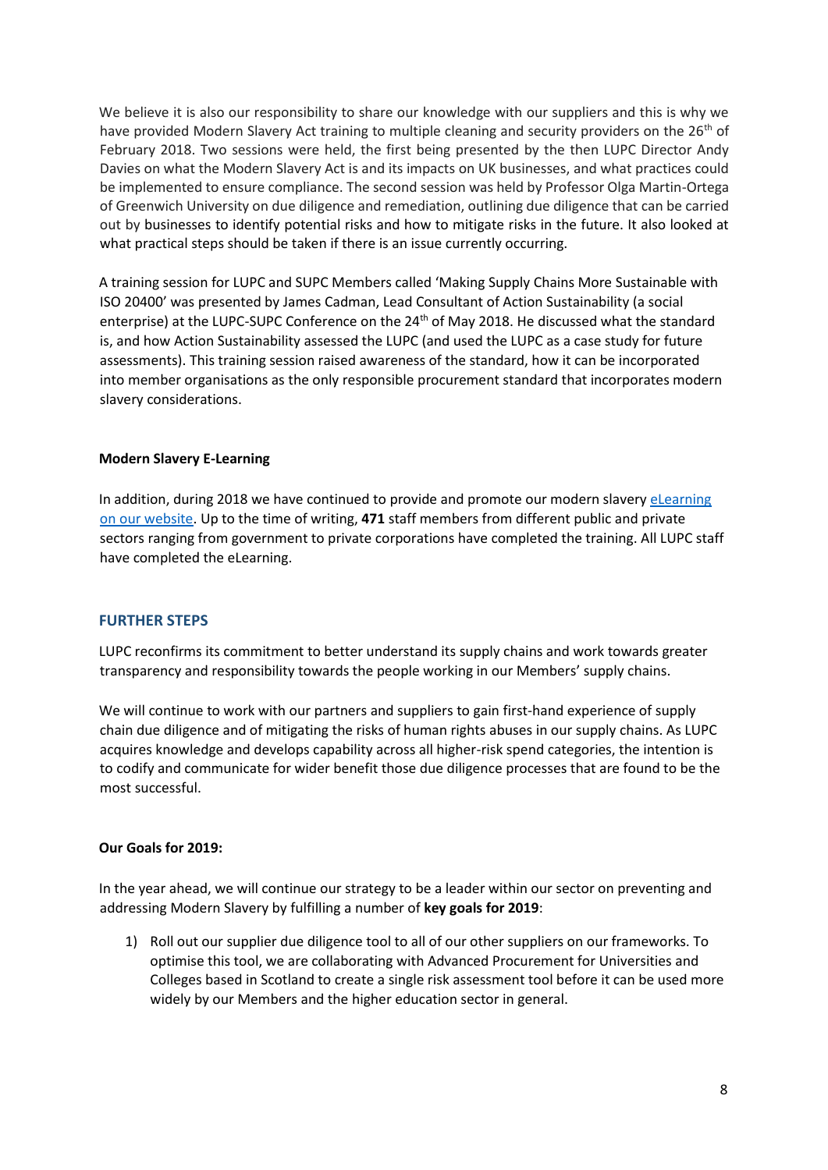We believe it is also our responsibility to share our knowledge with our suppliers and this is why we have provided Modern Slavery Act training to multiple cleaning and security providers on the 26<sup>th</sup> of February 2018. Two sessions were held, the first being presented by the then LUPC Director Andy Davies on what the Modern Slavery Act is and its impacts on UK businesses, and what practices could be implemented to ensure compliance. The second session was held by Professor Olga Martin-Ortega of Greenwich University on due diligence and remediation, outlining due diligence that can be carried out by businesses to identify potential risks and how to mitigate risks in the future. It also looked at what practical steps should be taken if there is an issue currently occurring.

A training session for LUPC and SUPC Members called 'Making Supply Chains More Sustainable with ISO 20400' was presented by James Cadman, Lead Consultant of Action Sustainability (a social enterprise) at the LUPC-SUPC Conference on the 24<sup>th</sup> of May 2018. He discussed what the standard is, and how Action Sustainability assessed the LUPC (and used the LUPC as a case study for future assessments). This training session raised awareness of the standard, how it can be incorporated into member organisations as the only responsible procurement standard that incorporates modern slavery considerations.

#### **Modern Slavery E-Learning**

In addition, during 2018 we have continued to provide and promote our modern slavery elearning on our website. Up to the time of writing, **471** staff members from different public and private sectors ranging from government to private corporations have completed the training. All LUPC staff have completed the eLearning.

## **FURTHER STEPS**

LUPC reconfirms its commitment to better understand its supply chains and work towards greater transparency and responsibility towards the people working in our Members' supply chains.

We will continue to work with our partners and suppliers to gain first-hand experience of supply chain due diligence and of mitigating the risks of human rights abuses in our supply chains. As LUPC acquires knowledge and develops capability across all higher-risk spend categories, the intention is to codify and communicate for wider benefit those due diligence processes that are found to be the most successful.

#### **Our Goals for 2019:**

In the year ahead, we will continue our strategy to be a leader within our sector on preventing and addressing Modern Slavery by fulfilling a number of **key goals for 2019**:

1) Roll out our supplier due diligence tool to all of our other suppliers on our frameworks. To optimise this tool, we are collaborating with Advanced Procurement for Universities and Colleges based in Scotland to create a single risk assessment tool before it can be used more widely by our Members and the higher education sector in general.